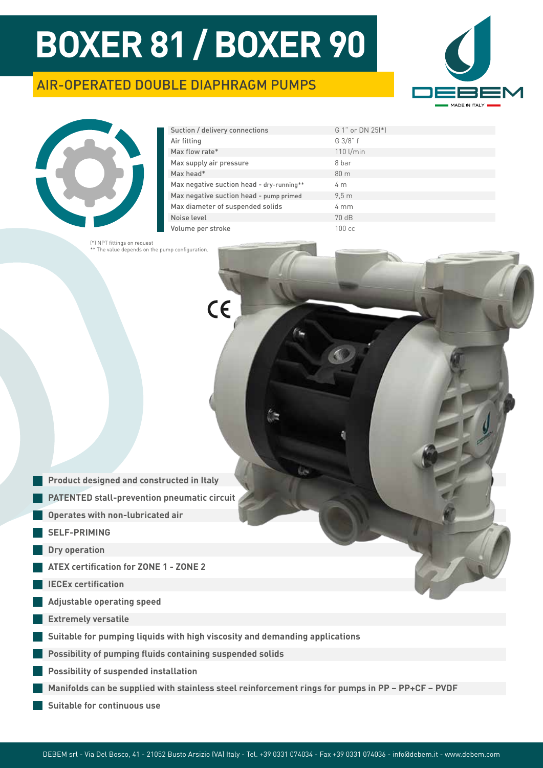$\epsilon$ 

## AIR-OPERATED DOUBLE DIAPHRAGM PUMPS





| Suction / delivery connections            | G 1" or DN 25(*) |
|-------------------------------------------|------------------|
| Air fitting                               | G 3/8" f         |
| Max flow rate*                            | 110 l/min        |
| Max supply air pressure                   | 8 har            |
| Max head*                                 | 80 <sub>m</sub>  |
| Max negative suction head - dry-running** | 4 <sub>m</sub>   |
| Max negative suction head - pump primed   | 9.5 <sub>m</sub> |
| Max diameter of suspended solids          | $4 \, \text{mm}$ |
| Noise level                               | 70 dB            |
| Volume per stroke                         | $100 \text{ cc}$ |

65

(\*) NPT fittings on request \*\* The value depends on the pump configuration.



- **PATENTED stall-prevention pneumatic circuit**
- **Operates with non-lubricated air**
- **SELF-PRIMING**
- **Dry operation**
- **ATEX certification for ZONE 1 ZONE 2**
- **IECEx certification**
- **Adjustable operating speed**
- **Extremely versatile**
- **Suitable for pumping liquids with high viscosity and demanding applications**
- **Possibility of pumping fluids containing suspended solids**
- **Possibility of suspended installation**
- **Manifolds can be supplied with stainless steel reinforcement rings for pumps in PP PP+CF PVDF**
- **Suitable for continuous use**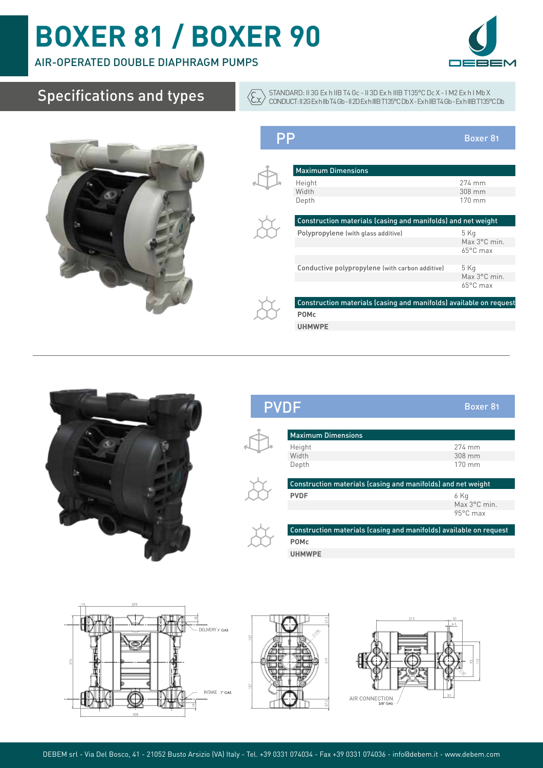### AIR-OPERATED DOUBLE DIAPHRAGM PUMPS



## Specifications and types



| $\sf PP$ |                                                                    | Boxer <sub>81</sub> |
|----------|--------------------------------------------------------------------|---------------------|
|          |                                                                    |                     |
|          | <b>Maximum Dimensions</b>                                          |                     |
|          | Height                                                             | 274 mm              |
|          | Width                                                              | $308$ mm            |
|          | Depth                                                              | $170 \text{ mm}$    |
|          | Construction materials (casing and manifolds) and net weight       |                     |
|          | Polypropylene (with glass additive)                                | 5 Kg                |
|          |                                                                    | Max 3°C min.        |
|          |                                                                    | 65°C max            |
|          |                                                                    |                     |
|          | Conductive polypropylene (with carbon additive)                    | 5 Kg                |
|          |                                                                    | Max 3°C min.        |
|          |                                                                    | $65^{\circ}$ C max  |
|          | Construction materials (casing and manifolds) available on request |                     |
|          | <b>POMc</b>                                                        |                     |
|          | <b>UHMWPE</b>                                                      |                     |
|          |                                                                    |                     |

STANDARD: II 3G Ex h IIB T4 Gc - II 3D Ex h IIIB T135°C Dc X - I M2 Ex h I Mb X CONDUCT: II 2G Ex h IIb T4 Gb - II 2D Ex h IIIB T135°C Db X - Ex h IIB T4 Gb - Ex h IIIB T135°C Db



## PVDF Boxer 81



 $\sqrt{\xi_{\mathbf{x}}}$ 

| <b>Maximum Dimensions</b>                                    |                  |  |  |
|--------------------------------------------------------------|------------------|--|--|
| Height                                                       | 274 mm           |  |  |
| Width                                                        | $308$ mm         |  |  |
| Depth                                                        | $170 \text{ mm}$ |  |  |
|                                                              |                  |  |  |
| Construction materials (casing and manifolds) and net weight |                  |  |  |





Construction materials (casing and manifolds) available on request **POMc**

**UHMWPE**





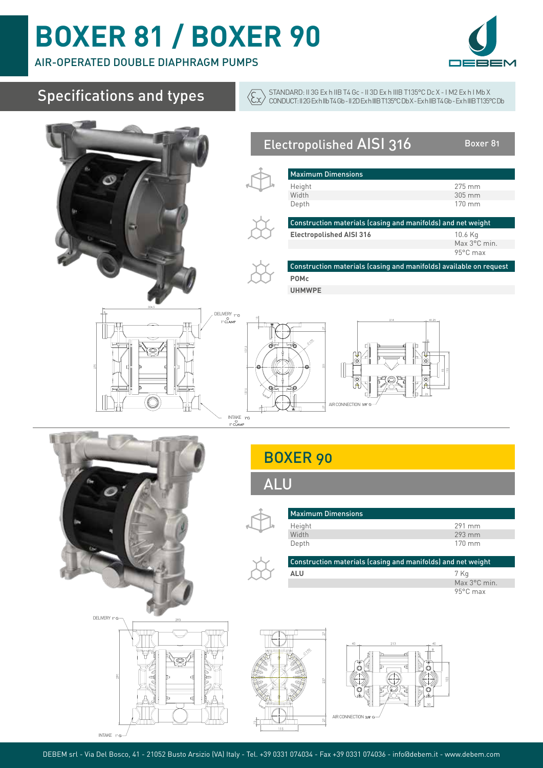AIR-OPERATED DOUBLE DIAPHRAGM PUMPS



| <b>Specifications and types</b>                                                                                                  |                                                                                                          | STANDARD: II 3G Ex h IIB T4 Gc - II 3D Ex h IIIB T135°C Dc X - IM2 Ex h I Mb X<br>CONDUCT: II 2G Exh IIb T4 Gb - II 2D Exh IIIB T135°C Db X - Exh IIB T4 Gb - Exh IIIB T135°C Db                  |                                                                               |
|----------------------------------------------------------------------------------------------------------------------------------|----------------------------------------------------------------------------------------------------------|---------------------------------------------------------------------------------------------------------------------------------------------------------------------------------------------------|-------------------------------------------------------------------------------|
|                                                                                                                                  | <b>Maximum Dimensions</b><br>Height<br>Width<br>Depth<br><b>POMc</b><br><b>UHMWPE</b>                    | Electropolished AISI 316<br>Construction materials (casing and manifolds) and net weight<br><b>Electropolished AISI 316</b><br>Construction materials (casing and manifolds) available on request | Boxer 81<br>275 mm<br>305 mm<br>170 mm<br>10.6 Kg<br>Max 3°C min.<br>95°C max |
| DELIVERY 1" G<br>1" CLAMP<br>$\begin{array}{cc} \text{INTAKE} & \text{PG} \\ \text{O} & \text{V} \\ \text{1" CLAMP} \end{array}$ | o                                                                                                        | AIR CONNECTION 3/8" O                                                                                                                                                                             |                                                                               |
|                                                                                                                                  | <b>BOXER 90</b><br><b>ALU</b><br><b>Maximum Dimensions</b><br>Height<br>Width<br>Depth<br>$\mathsf{ALU}$ | Construction materials (casing and manifolds) and net weight                                                                                                                                      | 291 mm<br>293 mm<br>170 mm<br>7 Kg<br>Max 3°C min.<br>95°C max                |
| DELIVERY 1"G-<br>293<br>d<br>m                                                                                                   |                                                                                                          | 213<br>O<br>o<br>AIR CONNECTION 3/8" G                                                                                                                                                            |                                                                               |

 $INTAKE$   $\sqrt{ }$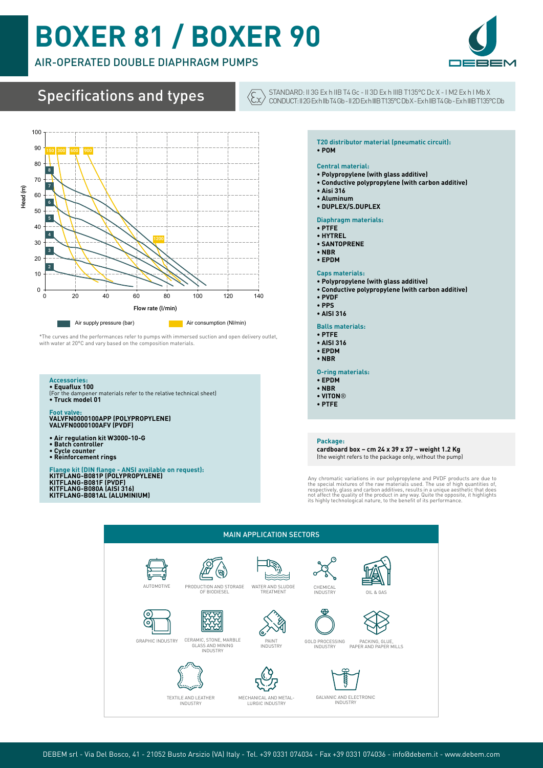### AIR-OPERATED DOUBLE DIAPHRAGM PUMPS



Specifications and types



STANDARD: II 3G Ex h IIB T4 Gc - II 3D Ex h IIIB T135°C Dc X - I M2 Ex h I Mb X CONDUCT: II 2G Ex h IIb T4 Gb - II 2D Ex h IIIB T135°C Db X - Ex h IIB T4 Gb - Ex h IIIB T135°C Db



\*The curves and the performances refer to pumps with immersed suction and open delivery outlet, with water at 20°C and vary based on the composition materials.

### **Accessories: • Equaflux 100**

(For the dampener materials refer to the relative technical sheet) **• Truck model 01**

### **Foot valve: VALVFN0000100APP (POLYPROPYLENE) VALVFN0000100AFV (PVDF)**

- **Air regulation kit W3000-10-G**
- **Batch controller**
- **Cycle counter Reinforcement rings**

Flange kit (DIN flange - ANSI available on request):<br>KITFLANG-B081P (POLYPROPYLENE)<br>KITFLANG-B080F (PVDF)<br>KITFLANG-B080A (AISI 316)<br>KITFLANG-B081AL (ALUMINIUM)

#### **T20 distributor material (pneumatic circuit): • POM**

#### **Central material:**

- **Polypropylene (with glass additive)**
- **Conductive polypropylene (with carbon additive)**
- **Aisi 316**
- **Aluminum**
- **DUPLEX/S.DUPLEX**

### **Diaphragm materials:**

- **PTFE**
- **HYTREL**
- **SANTOPRENE**
- **NBR**
- **EPDM**
- **Caps materials:**
- **Polypropylene (with glass additive)**
- **Conductive polypropylene (with carbon additive)**
- **PVDF**
- **PPS**
- **AISI 316**
- **Balls materials:**
- **PTFE**
- **AISI 316**
- **EPDM**
- **NBR**
- **O-ring materials:**
- **EPDM**
- **NBR**
- **VITON**®
- **PTFE**

#### **Package:**

**cardboard box – cm 24 x 39 x 37 – weight 1.2 Kg** (the weight refers to the package only, without the pump)

Any chromatic variations in our polypropylene and PVDF products are due to<br>the special mixtures of the raw materials used. The use of high quantities of,<br>respectively, glass and carbon additives, results in a unique aesthe